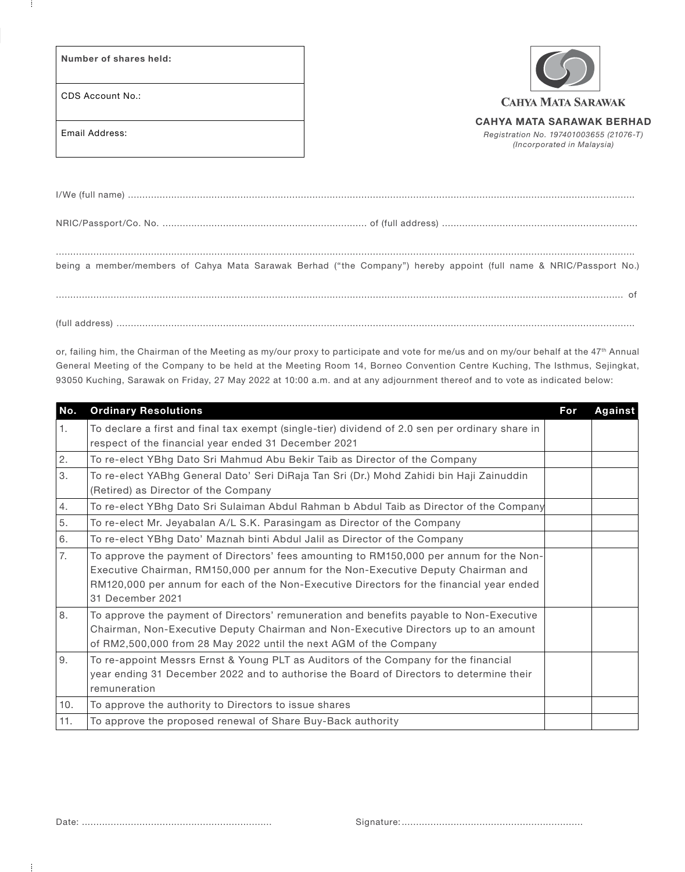Number of shares held:

CDS Account No.:

**CAHYA MATA SARAWAK** 

Email Address:

CAHYA MATA SARAWAK BERHAD

*Registration No. 197401003655 (21076-T) (Incorporated in Malaysia)*

| being a member/members of Cahya Mata Sarawak Berhad ("the Company") hereby appoint (full name & NRIC/Passport No.) |
|--------------------------------------------------------------------------------------------------------------------|
|                                                                                                                    |
|                                                                                                                    |

or, failing him, the Chairman of the Meeting as my/our proxy to participate and vote for me/us and on my/our behalf at the 47<sup>th</sup> Annual General Meeting of the Company to be held at the Meeting Room 14, Borneo Convention Centre Kuching, The Isthmus, Sejingkat, 93050 Kuching, Sarawak on Friday, 27 May 2022 at 10:00 a.m. and at any adjournment thereof and to vote as indicated below:

| No. | <b>Ordinary Resolutions</b>                                                                                                                                                                                                                                                                  | For | Against |
|-----|----------------------------------------------------------------------------------------------------------------------------------------------------------------------------------------------------------------------------------------------------------------------------------------------|-----|---------|
| 1.  | To declare a first and final tax exempt (single-tier) dividend of 2.0 sen per ordinary share in<br>respect of the financial year ended 31 December 2021                                                                                                                                      |     |         |
| 2.  | To re-elect YBhg Dato Sri Mahmud Abu Bekir Taib as Director of the Company                                                                                                                                                                                                                   |     |         |
| 3.  | To re-elect YABhg General Dato' Seri DiRaja Tan Sri (Dr.) Mohd Zahidi bin Haji Zainuddin<br>(Retired) as Director of the Company                                                                                                                                                             |     |         |
| 4.  | To re-elect YBhq Dato Sri Sulaiman Abdul Rahman b Abdul Taib as Director of the Company                                                                                                                                                                                                      |     |         |
| 5.  | To re-elect Mr. Jeyabalan A/L S.K. Parasingam as Director of the Company                                                                                                                                                                                                                     |     |         |
| 6.  | To re-elect YBhg Dato' Maznah binti Abdul Jalil as Director of the Company                                                                                                                                                                                                                   |     |         |
| 7.  | To approve the payment of Directors' fees amounting to RM150,000 per annum for the Non-<br>Executive Chairman, RM150,000 per annum for the Non-Executive Deputy Chairman and<br>RM120,000 per annum for each of the Non-Executive Directors for the financial year ended<br>31 December 2021 |     |         |
| 8.  | To approve the payment of Directors' remuneration and benefits payable to Non-Executive<br>Chairman, Non-Executive Deputy Chairman and Non-Executive Directors up to an amount<br>of RM2,500,000 from 28 May 2022 until the next AGM of the Company                                          |     |         |
| 9.  | To re-appoint Messrs Ernst & Young PLT as Auditors of the Company for the financial<br>year ending 31 December 2022 and to authorise the Board of Directors to determine their<br>remuneration                                                                                               |     |         |
| 10. | To approve the authority to Directors to issue shares                                                                                                                                                                                                                                        |     |         |
| 11. | To approve the proposed renewal of Share Buy-Back authority                                                                                                                                                                                                                                  |     |         |

÷

Date: .................................................................. Signature: ...............................................................